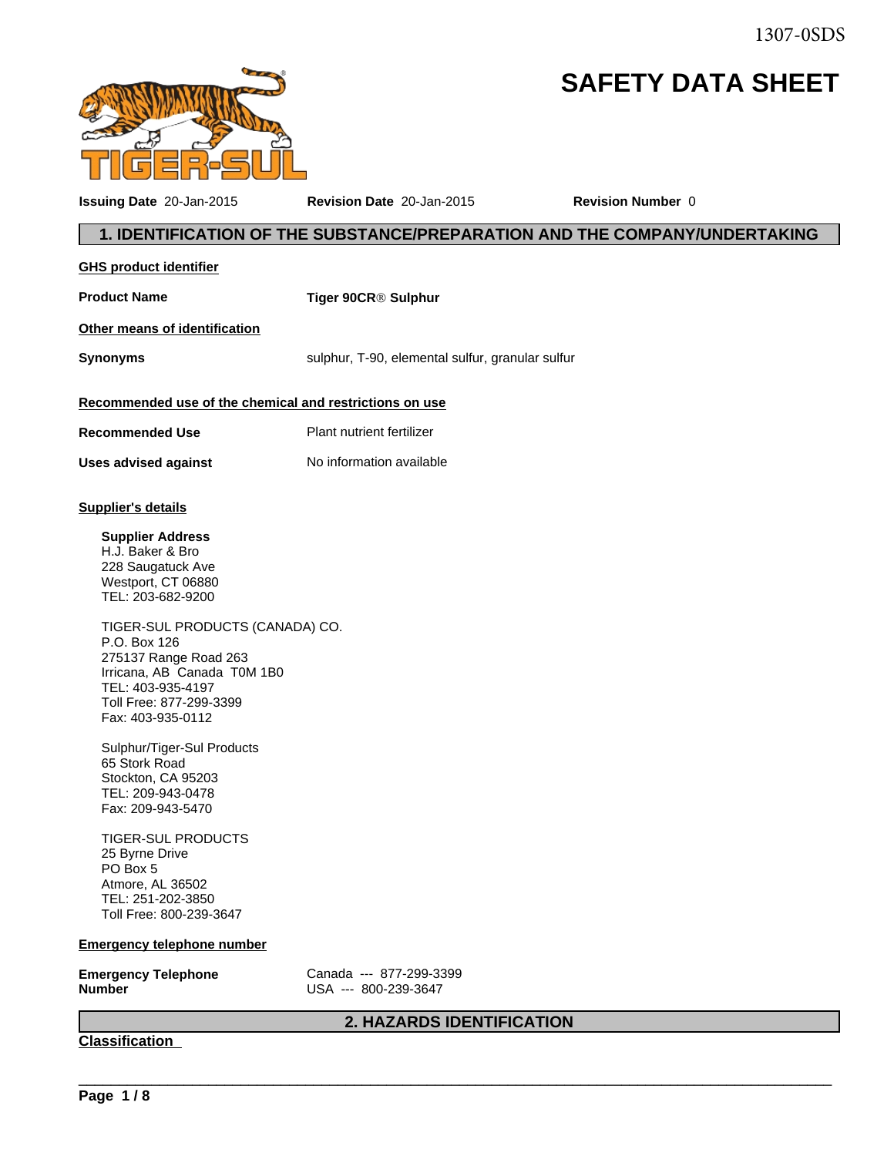1307-0SDS

# **SAFETY DATA SHEET**



**Issuing Date** 20-Jan-2015 **Revision Date** 20-Jan-2015 **Revision Number** 0

| <b>GHS product identifier</b>                                                                                                                                                                                                                                                                                                                                                                                                                                                                                                             |                                                  |
|-------------------------------------------------------------------------------------------------------------------------------------------------------------------------------------------------------------------------------------------------------------------------------------------------------------------------------------------------------------------------------------------------------------------------------------------------------------------------------------------------------------------------------------------|--------------------------------------------------|
| <b>Product Name</b>                                                                                                                                                                                                                                                                                                                                                                                                                                                                                                                       | Tiger 90CR® Sulphur                              |
| Other means of identification                                                                                                                                                                                                                                                                                                                                                                                                                                                                                                             |                                                  |
| <b>Synonyms</b>                                                                                                                                                                                                                                                                                                                                                                                                                                                                                                                           | sulphur, T-90, elemental sulfur, granular sulfur |
| Recommended use of the chemical and restrictions on use                                                                                                                                                                                                                                                                                                                                                                                                                                                                                   |                                                  |
|                                                                                                                                                                                                                                                                                                                                                                                                                                                                                                                                           |                                                  |
| <b>Recommended Use</b>                                                                                                                                                                                                                                                                                                                                                                                                                                                                                                                    | Plant nutrient fertilizer                        |
| <b>Uses advised against</b>                                                                                                                                                                                                                                                                                                                                                                                                                                                                                                               | No information available                         |
| <b>Supplier's details</b>                                                                                                                                                                                                                                                                                                                                                                                                                                                                                                                 |                                                  |
| <b>Supplier Address</b><br>H.J. Baker & Bro<br>228 Saugatuck Ave<br>Westport, CT 06880<br>TEL: 203-682-9200<br>TIGER-SUL PRODUCTS (CANADA) CO.<br>P.O. Box 126<br>275137 Range Road 263<br>Irricana, AB Canada T0M 1B0<br>TEL: 403-935-4197<br>Toll Free: 877-299-3399<br>Fax: 403-935-0112<br>Sulphur/Tiger-Sul Products<br>65 Stork Road<br>Stockton, CA 95203<br>TEL: 209-943-0478<br>Fax: 209-943-5470<br><b>TIGER-SUL PRODUCTS</b><br>25 Byrne Drive<br>PO Box 5<br>Atmore, AL 36502<br>TEL: 251-202-3850<br>Toll Free: 800-239-3647 |                                                  |
| <b>Emergency telephone number</b>                                                                                                                                                                                                                                                                                                                                                                                                                                                                                                         |                                                  |
| <b>Emergency Telephone</b><br><b>Number</b>                                                                                                                                                                                                                                                                                                                                                                                                                                                                                               | Canada --- 877-299-3399<br>USA --- 800-239-3647  |
|                                                                                                                                                                                                                                                                                                                                                                                                                                                                                                                                           | 2. HAZARDS IDENTIFICATION                        |
| <b>Classification</b>                                                                                                                                                                                                                                                                                                                                                                                                                                                                                                                     |                                                  |
|                                                                                                                                                                                                                                                                                                                                                                                                                                                                                                                                           |                                                  |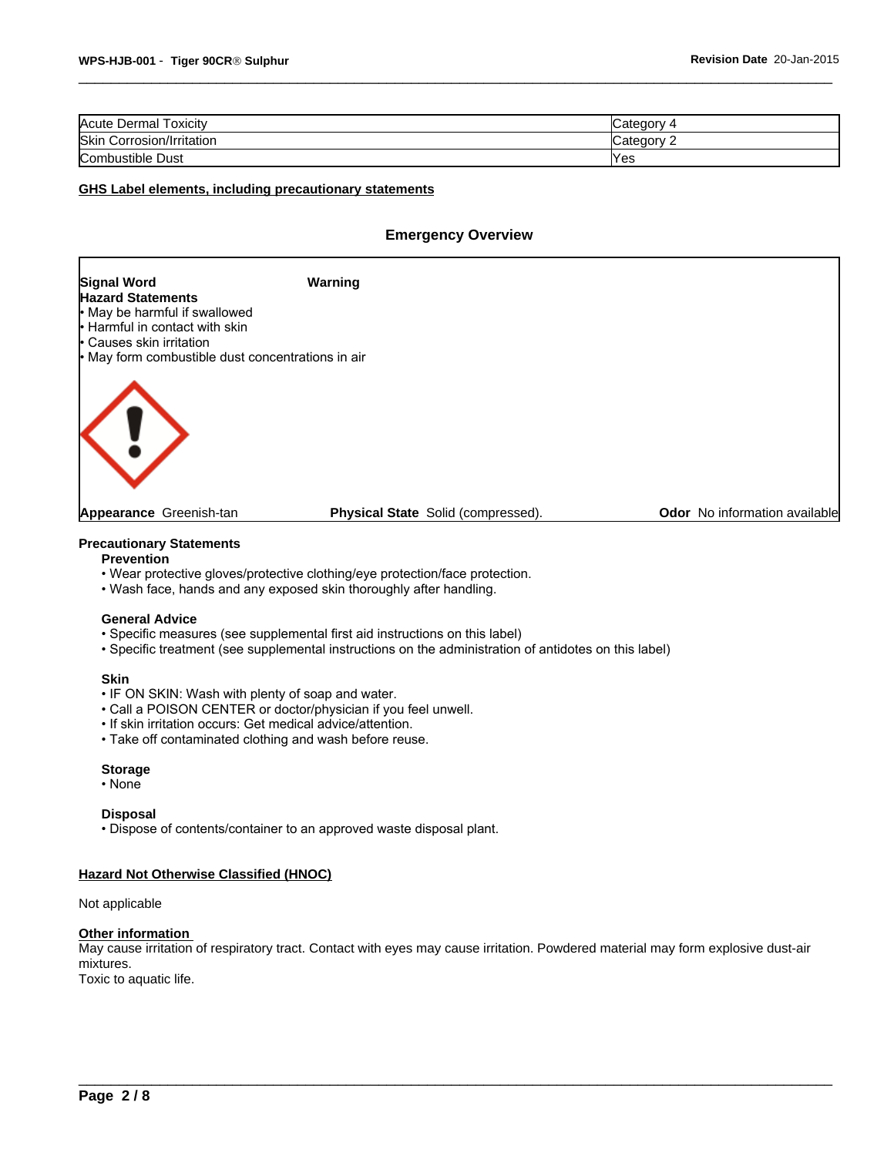| $-$<br>Acute Dermal<br>oxicity | ′ ategoryب |
|--------------------------------|------------|
| Skin<br>Corrosion/Irritation   | ∵ ategoryټ |
| Combustible Dust               | Yes        |

#### **GHS Label elements, including precautionary statements**

#### **Emergency Overview**



#### **Precautionary Statements**

#### **Prevention**

- Wear protective gloves/protective clothing/eye protection/face protection.
- Wash face, hands and any exposed skin thoroughly after handling.

#### **General Advice**

- Specific measures (see supplemental first aid instructions on this label)
- Specific treatment (see supplemental instructions on the administration of antidotes on this label)

#### **Skin**

- IF ON SKIN: Wash with plenty of soap and water.
- Call a POISON CENTER or doctor/physician if you feel unwell.
- If skin irritation occurs: Get medical advice/attention.
- Take off contaminated clothing and wash before reuse.

#### **Storage**

•None

#### **Disposal**

• Dispose of contents/container to an approved waste disposal plant.

#### **Hazard Not Otherwise Classified (HNOC)**

#### Not applicable

#### **Other information**

May cause irritation of respiratory tract. Contact with eyes may cause irritation. Powdered material may form explosive dust-air mixtures. Toxic to aquatic life.

 $\overline{\phantom{a}}$  ,  $\overline{\phantom{a}}$  ,  $\overline{\phantom{a}}$  ,  $\overline{\phantom{a}}$  ,  $\overline{\phantom{a}}$  ,  $\overline{\phantom{a}}$  ,  $\overline{\phantom{a}}$  ,  $\overline{\phantom{a}}$  ,  $\overline{\phantom{a}}$  ,  $\overline{\phantom{a}}$  ,  $\overline{\phantom{a}}$  ,  $\overline{\phantom{a}}$  ,  $\overline{\phantom{a}}$  ,  $\overline{\phantom{a}}$  ,  $\overline{\phantom{a}}$  ,  $\overline{\phantom{a}}$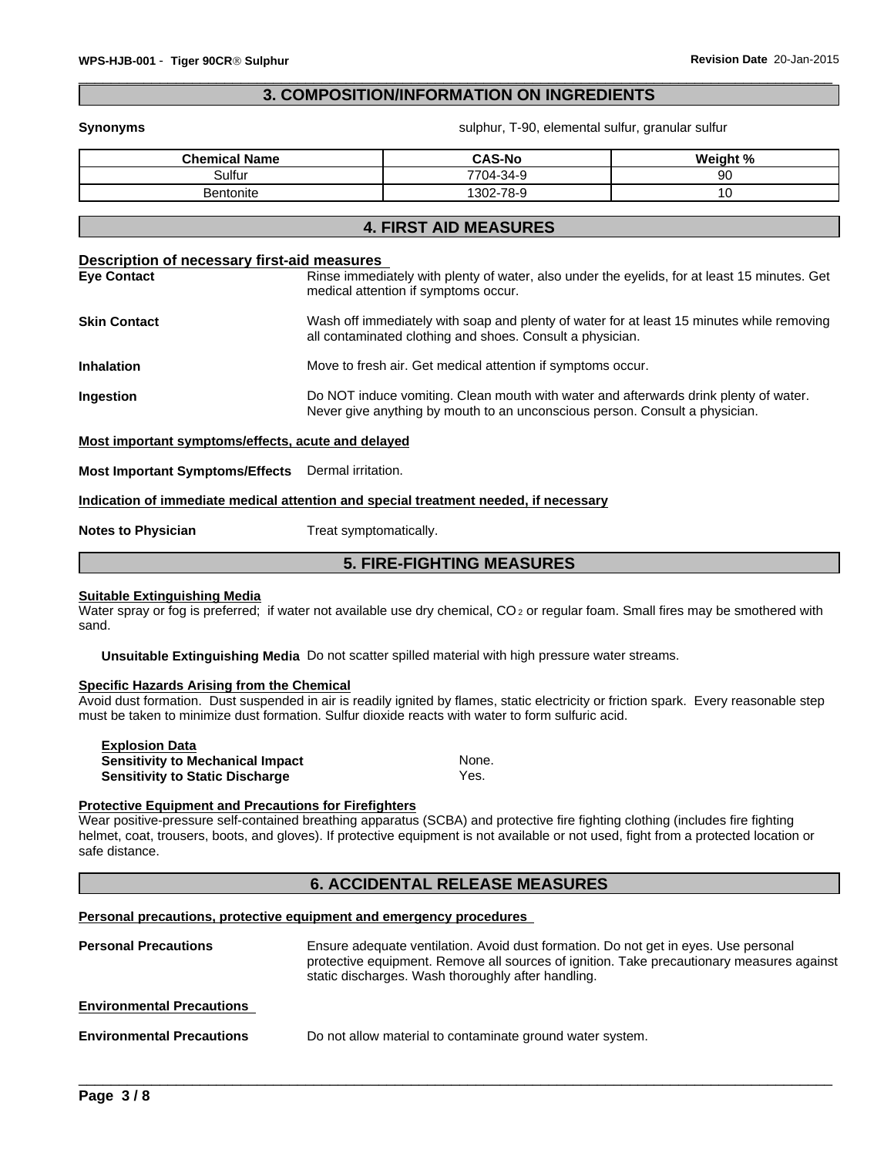# **3. COMPOSITION/INFORMATION ON INGREDIENTS**

**Synonyms Synonyms** sulphur, T-90, elemental sulfur, granular sulfur

| Sulfur<br>-34-9<br>7704-ఎ<br>۵n<br>ອບ<br>-78-9<br>$302 -$<br>Bentonite | <b>Chemical Name</b> | <b>CAS-No</b> | $\pm 0$<br>Weight |
|------------------------------------------------------------------------|----------------------|---------------|-------------------|
|                                                                        |                      |               |                   |
|                                                                        |                      |               |                   |

# **4. FIRST AID MEASURES**

# **Description of necessary first-aid measures Eye Contact** Rinse immediately with plenty of water, also under the eyelids, for at least 15 minutes. Get medical attention if symptoms occur. **Skin Contact** With Soap and plenty of water for at least 15 minutes while removing all contaminated clothing and shoes. Consult a physician. **Inhalation** Move to fresh air. Get medical attention if symptoms occur. **Ingestion Example 3** Do NOT induce vomiting. Clean mouth with water and afterwards drink plenty of water. Never give anything by mouth to an unconscious person. Consult a physician. **Most important symptoms/effects, acute and delayed**

**Most Important Symptoms/Effects** Dermal irritation.

**Indication of immediate medical attention and special treatment needed, if necessary**

**Notes to Physician** Treat symptomatically.

# **5. FIRE-FIGHTING MEASURES**

#### **Suitable Extinguishing Media**

Water spray or fog is preferred; if water not available use dry chemical, CO<sub>2</sub> or regular foam. Small fires may be smothered with sand.

**Unsuitable Extinguishing Media** Do not scatter spilled material with high pressure water streams.

#### **Specific Hazards Arising from the Chemical**

Avoid dust formation. Dust suspended in air is readily ignited by flames, static electricity or friction spark. Every reasonable step must be taken to minimize dust formation. Sulfur dioxide reacts with water to form sulfuric acid.

| <b>Explosion Data</b>                   |       |
|-----------------------------------------|-------|
| <b>Sensitivity to Mechanical Impact</b> | None. |
| <b>Sensitivity to Static Discharge</b>  | Yes.  |

#### **Protective Equipment and Precautions for Firefighters**

Wear positive-pressure self-contained breathing apparatus (SCBA) and protective fire fighting clothing (includes fire fighting helmet, coat, trousers, boots, and gloves). If protective equipment is not available or not used, fight from a protected location or safe distance.

# **6. ACCIDENTAL RELEASE MEASURES**

#### **Personal precautions, protective equipment and emergency procedures**

| <b>Personal Precautions</b>      | Ensure adequate ventilation. Avoid dust formation. Do not get in eyes. Use personal<br>protective equipment. Remove all sources of ignition. Take precautionary measures against<br>static discharges. Wash thoroughly after handling. |
|----------------------------------|----------------------------------------------------------------------------------------------------------------------------------------------------------------------------------------------------------------------------------------|
| <b>Environmental Precautions</b> |                                                                                                                                                                                                                                        |
| <b>Environmental Precautions</b> | Do not allow material to contaminate ground water system.                                                                                                                                                                              |

 $\overline{\phantom{a}}$  ,  $\overline{\phantom{a}}$  ,  $\overline{\phantom{a}}$  ,  $\overline{\phantom{a}}$  ,  $\overline{\phantom{a}}$  ,  $\overline{\phantom{a}}$  ,  $\overline{\phantom{a}}$  ,  $\overline{\phantom{a}}$  ,  $\overline{\phantom{a}}$  ,  $\overline{\phantom{a}}$  ,  $\overline{\phantom{a}}$  ,  $\overline{\phantom{a}}$  ,  $\overline{\phantom{a}}$  ,  $\overline{\phantom{a}}$  ,  $\overline{\phantom{a}}$  ,  $\overline{\phantom{a}}$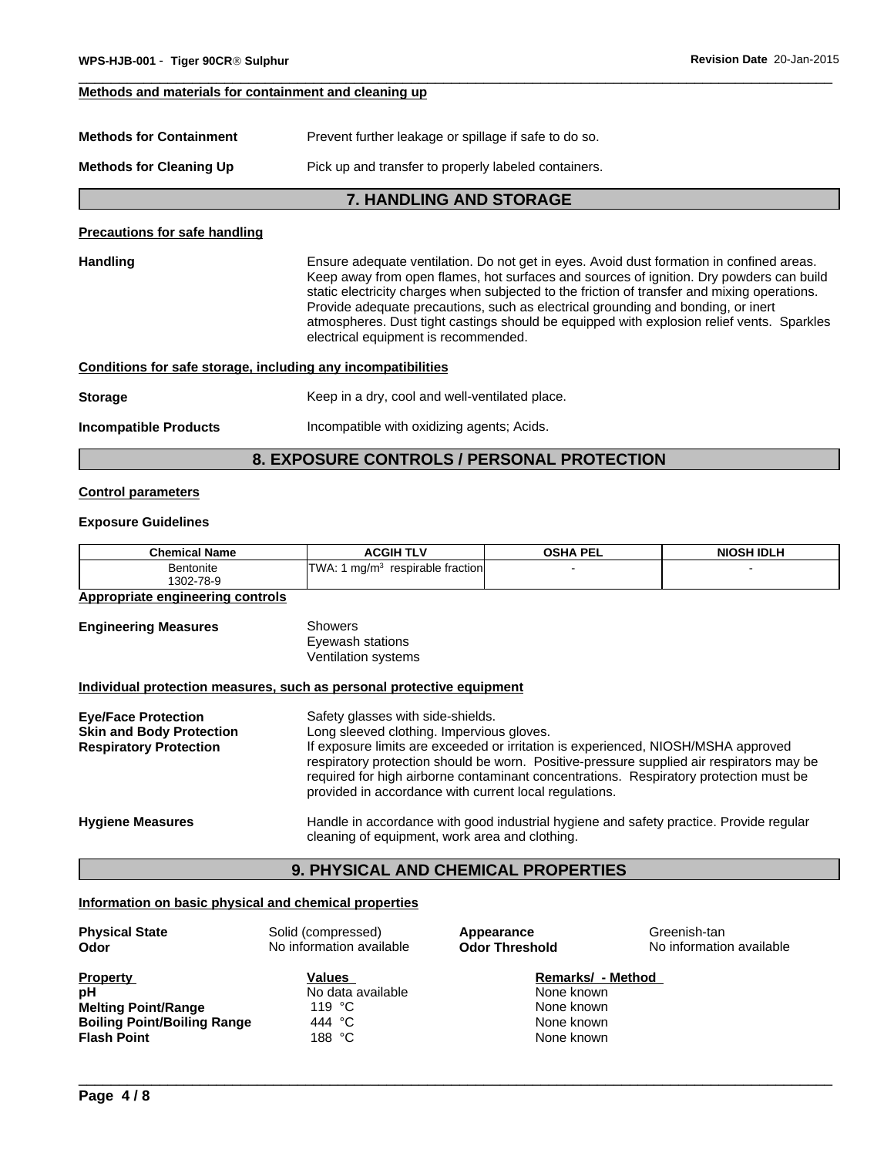#### **Methods and materials for containment and cleaning up**

| Prevent further leakage or spillage if safe to do so.<br><b>Methods for Containment</b> |  |
|-----------------------------------------------------------------------------------------|--|
|-----------------------------------------------------------------------------------------|--|

**Methods for Cleaning Up** Pick up and transfer to properly labeled containers.

### **7. HANDLING AND STORAGE**

#### **Precautions for safe handling**

Handling **Ensure adequate ventilation.** Do not get in eyes. Avoid dust formation in confined areas. Keep away from open flames, hot surfaces and sources of ignition. Dry powders can build static electricity charges when subjected to the friction of transfer and mixing operations. Provide adequate precautions, such as electrical grounding and bonding, or inert atmospheres. Dust tight castings should be equipped with explosion relief vents. Sparkles electrical equipment is recommended.

#### **Conditions for safe storage, including any incompatibilities**

# **Storage Keep in a dry, cool and well-ventilated place.**

**Incompatible Products Incompatible with oxidizing agents; Acids.** 

# **8. EXPOSURE CONTROLS / PERSONAL PROTECTION**

#### **Control parameters**

#### **Exposure Guidelines**

| <b>Chemical Name</b> | <b>TLV</b><br>$AGGIH^-$                       | <b>OSHA PEL</b> | <b>NIOSH IDLH</b> |
|----------------------|-----------------------------------------------|-----------------|-------------------|
| Bentonite            | respirable fraction<br><b>WA</b><br>ma/m<br>. |                 |                   |
| 1302-78-9<br>7 হ-ম   |                                               |                 |                   |

#### **Appropriate engineering controls**

| <b>Engineering Measures</b> | <b>Showers</b><br>Eyewash stations<br>Ventilation systems             |
|-----------------------------|-----------------------------------------------------------------------|
|                             | Individual protection measures, such as personal protective equipment |
| <b>Eye/Face Protection</b>  | Safety glasses with side-shields.                                     |

| EVE/FACE FIOLECTION             | Salety glasses with slue-shields.                                                                                                                                                                                                                                                                                                |
|---------------------------------|----------------------------------------------------------------------------------------------------------------------------------------------------------------------------------------------------------------------------------------------------------------------------------------------------------------------------------|
| <b>Skin and Body Protection</b> | Long sleeved clothing. Impervious gloves.                                                                                                                                                                                                                                                                                        |
| <b>Respiratory Protection</b>   | If exposure limits are exceeded or irritation is experienced, NIOSH/MSHA approved<br>respiratory protection should be worn. Positive-pressure supplied air respirators may be<br>required for high airborne contaminant concentrations. Respiratory protection must be<br>provided in accordance with current local regulations. |
| <b>Hygiene Measures</b>         | Handle in accordance with good industrial hygiene and safety practice. Provide regular<br>cleaning of equipment, work area and clothing.                                                                                                                                                                                         |

# **9. PHYSICAL AND CHEMICAL PROPERTIES**

#### **Information on basic physical and chemical properties**

| <b>Physical State</b><br>Odor      | Solid (compressed)<br>No information available | Appearance<br><b>Odor Threshold</b> | Greenish-tan<br>No information available |
|------------------------------------|------------------------------------------------|-------------------------------------|------------------------------------------|
| <b>Property</b>                    | <b>Values</b>                                  | Remarks/ - Method                   |                                          |
| рH                                 | No data available                              | None known                          |                                          |
| <b>Melting Point/Range</b>         | 119 °C                                         | None known                          |                                          |
| <b>Boiling Point/Boiling Range</b> | 444 °C                                         | None known                          |                                          |
| <b>Flash Point</b>                 | 188 °C                                         | None known                          |                                          |
|                                    |                                                |                                     |                                          |
|                                    |                                                |                                     |                                          |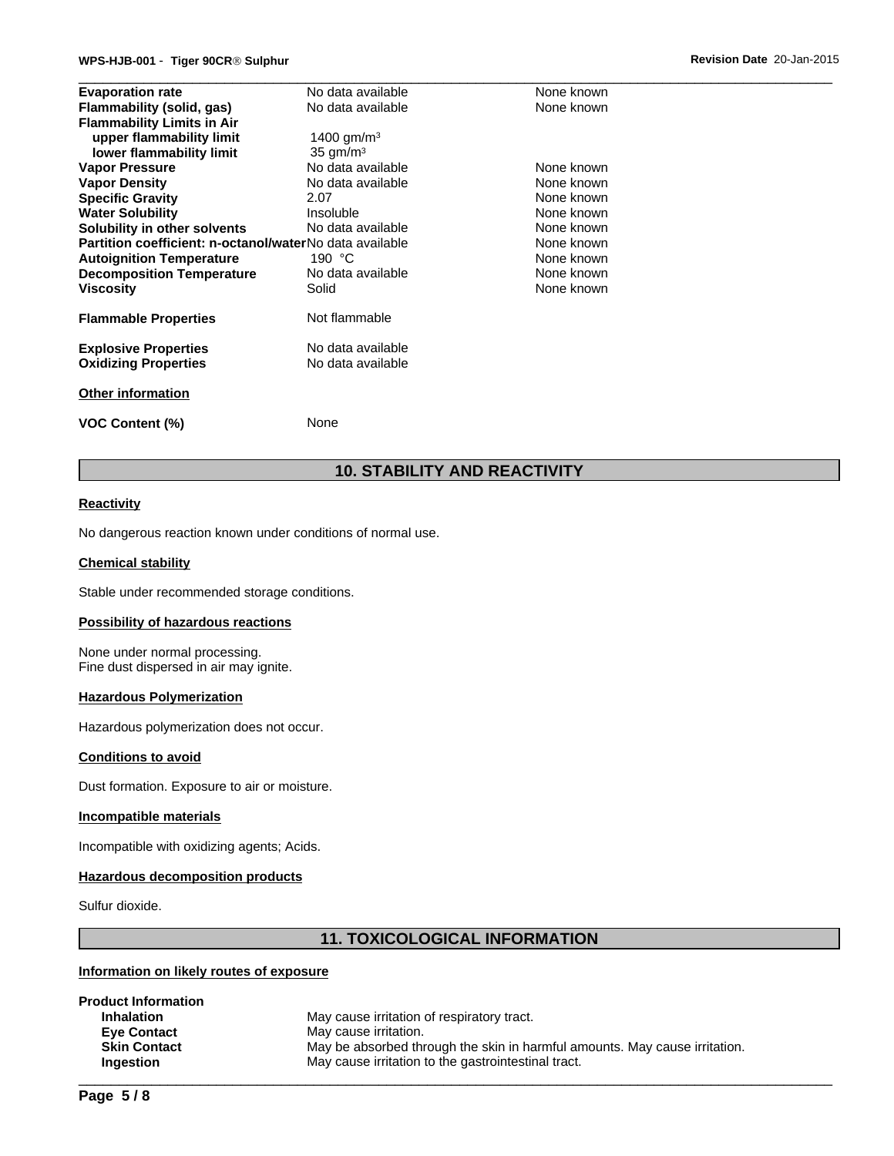|                                   | WPS-HJB-001 - Tiger 90CR® Sulphur |                                                         |            | Revision Date 20-Jan-2015 |
|-----------------------------------|-----------------------------------|---------------------------------------------------------|------------|---------------------------|
| <b>Evaporation rate</b>           |                                   | No data available                                       | None known |                           |
| Flammability (solid, gas)         |                                   | No data available                                       | None known |                           |
| <b>Flammability Limits in Air</b> |                                   |                                                         |            |                           |
|                                   | upper flammability limit          | 1400 $\mu$ <sup>3</sup>                                 |            |                           |
|                                   | lower flammability limit          | $35 \text{ gm/m}^3$                                     |            |                           |
| <b>Vapor Pressure</b>             |                                   | No data available                                       | None known |                           |
| <b>Vapor Density</b>              |                                   | No data available                                       | None known |                           |
| <b>Specific Gravity</b>           |                                   | 2.07                                                    | None known |                           |
| <b>Water Solubility</b>           |                                   | <b>Insoluble</b>                                        | None known |                           |
| Solubility in other solvents      |                                   | No data available                                       | None known |                           |
|                                   |                                   | Partition coefficient: n-octanol/waterNo data available | None known |                           |
| <b>Autoignition Temperature</b>   |                                   | 190 $°C$                                                | None known |                           |
|                                   | <b>Decomposition Temperature</b>  | No data available                                       | None known |                           |
| <b>Viscosity</b>                  |                                   | Solid                                                   | None known |                           |
| <b>Flammable Properties</b>       |                                   | Not flammable                                           |            |                           |
| <b>Explosive Properties</b>       |                                   | No data available                                       |            |                           |
| <b>Oxidizing Properties</b>       |                                   | No data available                                       |            |                           |
| <b>Other information</b>          |                                   |                                                         |            |                           |
| <b>VOC Content (%)</b>            |                                   | None                                                    |            |                           |

# **10. STABILITY AND REACTIVITY**

#### **Reactivity**

No dangerous reaction known under conditions of normal use.

#### **Chemical stability**

Stable under recommended storage conditions.

#### **Possibility of hazardous reactions**

None under normal processing. Fine dust dispersed in air may ignite.

#### **Hazardous Polymerization**

Hazardous polymerization does not occur.

#### **Conditions to avoid**

Dust formation. Exposure to air or moisture.

#### **Incompatible materials**

Incompatible with oxidizing agents; Acids.

#### **Hazardous decomposition products**

Sulfur dioxide.

# **11. TOXICOLOGICAL INFORMATION**

# **Information on likely routes of exposure**

| <b>Product Information</b> |                                                                            |
|----------------------------|----------------------------------------------------------------------------|
| <b>Inhalation</b>          | May cause irritation of respiratory tract.                                 |
| <b>Eve Contact</b>         | May cause irritation.                                                      |
| <b>Skin Contact</b>        | May be absorbed through the skin in harmful amounts. May cause irritation. |
| <b>Ingestion</b>           | May cause irritation to the gastrointestinal tract.                        |
|                            |                                                                            |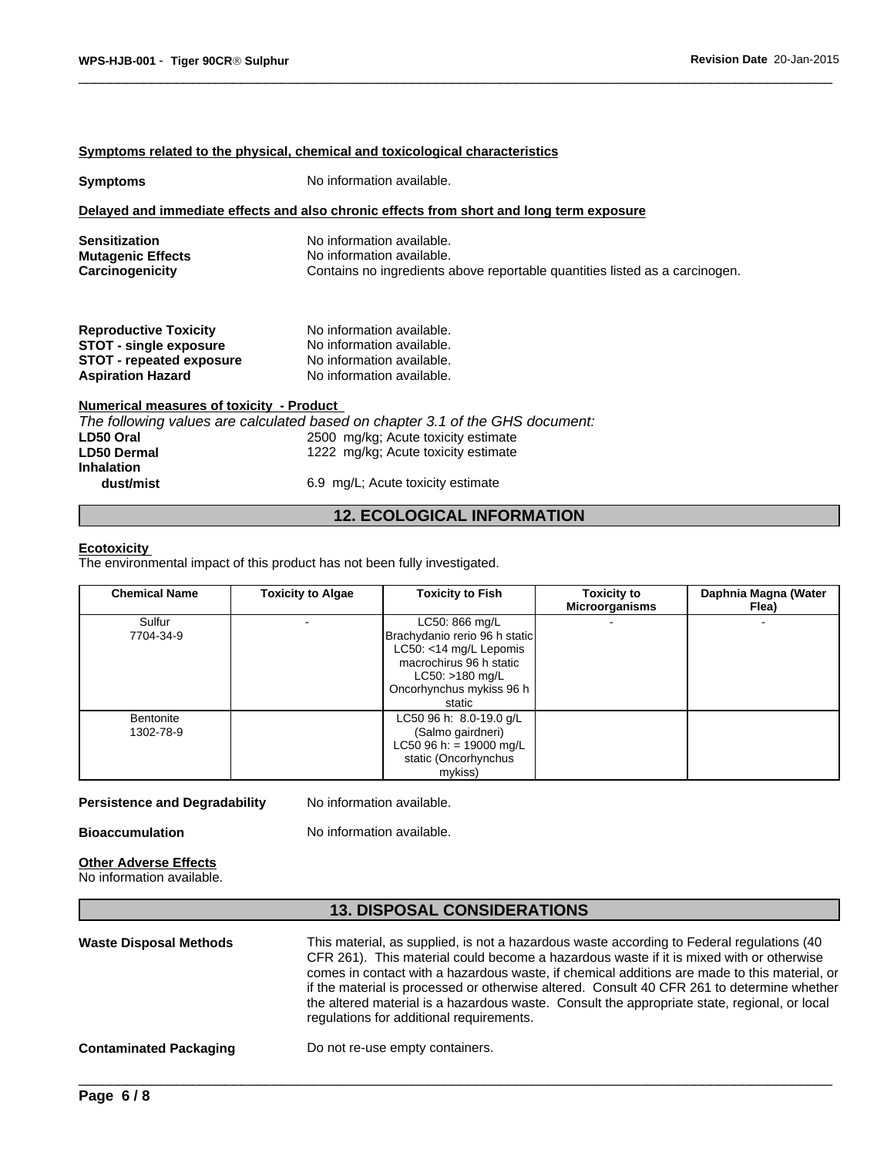### **Symptoms related to the physical, chemical and toxicological characteristics**

| <b>Symptoms</b>                                                                                                              | No information available.                                                                                                                                   |  |
|------------------------------------------------------------------------------------------------------------------------------|-------------------------------------------------------------------------------------------------------------------------------------------------------------|--|
|                                                                                                                              | Delayed and immediate effects and also chronic effects from short and long term exposure                                                                    |  |
| <b>Sensitization</b><br><b>Mutagenic Effects</b><br>Carcinogenicity                                                          | No information available.<br>No information available.<br>Contains no ingredients above reportable quantities listed as a carcinogen.                       |  |
| <b>Reproductive Toxicity</b><br><b>STOT - single exposure</b><br><b>STOT - repeated exposure</b><br><b>Aspiration Hazard</b> | No information available.<br>No information available.<br>No information available.<br>No information available.                                            |  |
| Numerical measures of toxicity - Product<br>LD50 Oral<br><b>LD50 Dermal</b><br><b>Inhalation</b>                             | The following values are calculated based on chapter 3.1 of the GHS document:<br>2500 mg/kg; Acute toxicity estimate<br>1222 mg/kg; Acute toxicity estimate |  |

**dust/mist** 6.9 mg/L; Acute toxicity estimate

# **12. ECOLOGICAL INFORMATION**

#### **Ecotoxicity**

The environmental impact of this product has not been fully investigated.

| <b>Chemical Name</b>   | <b>Toxicity to Algae</b> | <b>Toxicity to Fish</b>                                                                                                                                         | <b>Toxicity to</b><br><b>Microorganisms</b> | Daphnia Magna (Water<br>Flea) |
|------------------------|--------------------------|-----------------------------------------------------------------------------------------------------------------------------------------------------------------|---------------------------------------------|-------------------------------|
| Sulfur<br>7704-34-9    |                          | LC50: 866 mg/L<br>Brachydanio rerio 96 h static<br>LC50: <14 mg/L Lepomis<br>macrochirus 96 h static<br>$LC50: >180$ mg/L<br>Oncorhynchus mykiss 96 h<br>static |                                             |                               |
| Bentonite<br>1302-78-9 |                          | LC50 96 h: 8.0-19.0 g/L<br>(Salmo gairdneri)<br>LC50 96 h: = 19000 mg/L<br>static (Oncorhynchus<br>mykiss)                                                      |                                             |                               |

### **Persistence and Degradability** No information available.

**Bioaccumulation** No information available.

# **Other Adverse Effects**

No information available.

# **13. DISPOSAL CONSIDERATIONS**

| <b>Waste Disposal Methods</b> | This material, as supplied, is not a hazardous waste according to Federal regulations (40)<br>CFR 261). This material could become a hazardous waste if it is mixed with or otherwise<br>comes in contact with a hazardous waste, if chemical additions are made to this material, or<br>if the material is processed or otherwise altered. Consult 40 CFR 261 to determine whether<br>the altered material is a hazardous waste. Consult the appropriate state, regional, or local<br>regulations for additional requirements. |
|-------------------------------|---------------------------------------------------------------------------------------------------------------------------------------------------------------------------------------------------------------------------------------------------------------------------------------------------------------------------------------------------------------------------------------------------------------------------------------------------------------------------------------------------------------------------------|
| <b>Contaminated Packaging</b> | Do not re-use empty containers.                                                                                                                                                                                                                                                                                                                                                                                                                                                                                                 |
|                               |                                                                                                                                                                                                                                                                                                                                                                                                                                                                                                                                 |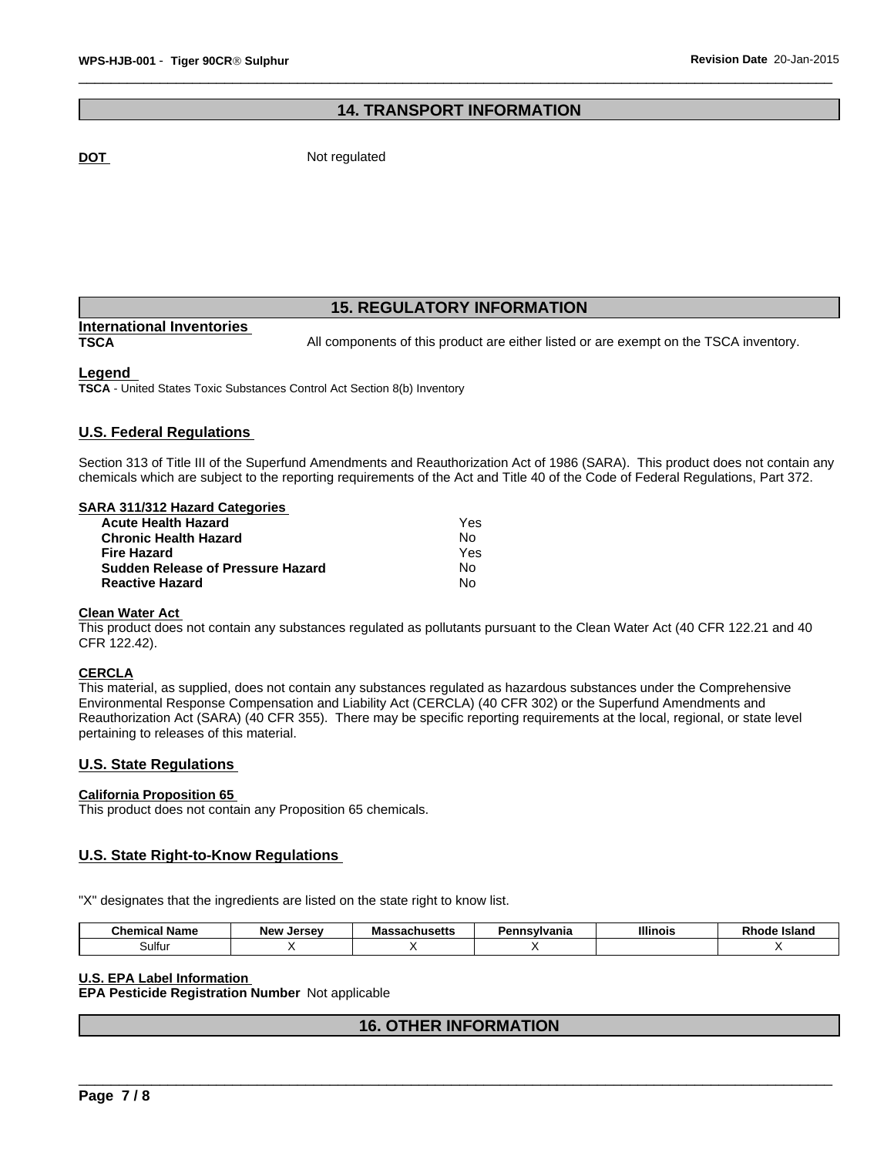# **14. TRANSPORT INFORMATION**

**DOT** Not regulated

# **15. REGULATORY INFORMATION**

# **International Inventories**

**TSCA** All components of this product are either listed or are exempt on the TSCA inventory.

### **Legend**

**TSCA** - United States Toxic Substances Control Act Section 8(b) Inventory

## **U.S. Federal Regulations**

Section 313 of Title III of the Superfund Amendments and Reauthorization Act of 1986 (SARA). This product does not contain any chemicals which are subject to the reporting requirements of the Act and Title 40 of the Code of Federal Regulations, Part 372.

#### **SARA 311/312 Hazard Categories**

| Acute Health Hazard               | Yes |  |
|-----------------------------------|-----|--|
| Chronic Health Hazard             | No. |  |
| Fire Hazard                       | Yes |  |
| Sudden Release of Pressure Hazard | No. |  |
| <b>Reactive Hazard</b>            | No. |  |

#### **Clean Water Act**

This product does not contain any substances regulated as pollutants pursuant to the Clean Water Act (40 CFR 122.21 and 40 CFR 122.42).

#### **CERCLA**

This material, as supplied, does not contain any substances regulated as hazardous substances under the Comprehensive Environmental Response Compensation and Liability Act (CERCLA) (40 CFR 302) or the Superfund Amendments and Reauthorization Act (SARA) (40 CFR 355). There may be specific reporting requirements at the local, regional, or state level pertaining to releases of this material.

### **U.S. State Regulations**

#### **California Proposition 65**

This product does not contain any Proposition 65 chemicals.

# **U.S. State Right-to-Know Regulations**

"X" designates that the ingredients are listed on the state right to know list.

| $\sim$<br>Name<br>Chemical | Jersev<br>New | sachusetts | Pennsylvania | <b>Illinois</b> | <b>Island</b><br>Rnode |
|----------------------------|---------------|------------|--------------|-----------------|------------------------|
| 3ulfu <sup>,</sup>         |               |            |              |                 |                        |

**U.S. EPA Label Information** \_\_\_\_\_\_\_\_\_\_\_\_\_\_\_\_\_\_\_\_\_\_\_\_\_\_\_\_\_\_\_\_\_\_\_\_\_\_\_\_\_\_\_\_\_\_\_\_\_\_\_\_\_\_\_\_\_\_\_\_\_\_\_\_\_\_\_\_\_\_\_\_\_\_\_\_\_\_\_\_\_\_\_\_\_\_\_\_\_\_\_\_\_ **EPA Pesticide Registration Number** Not applicable

# **16. OTHER INFORMATION**